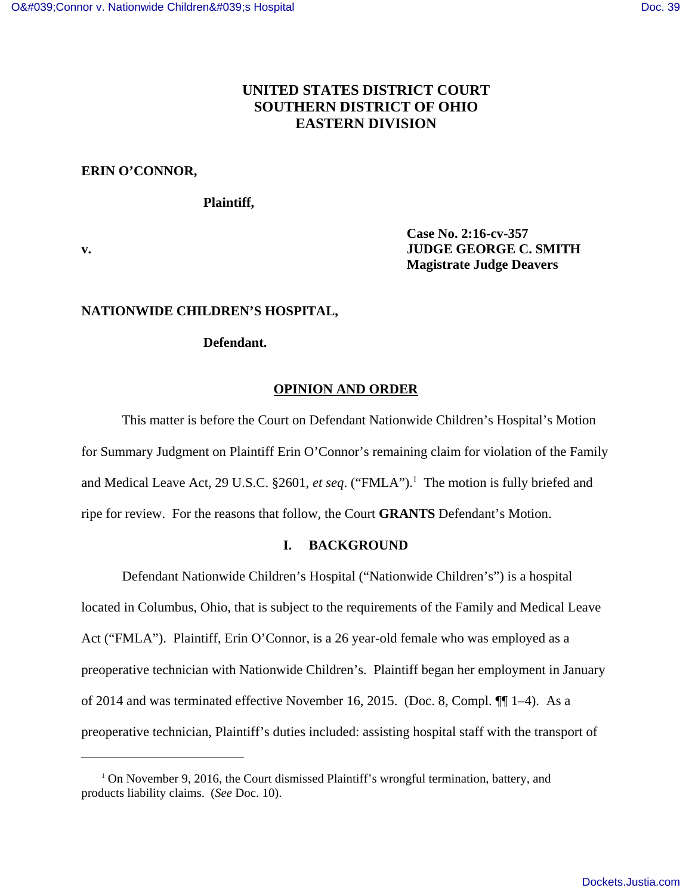# **UNITED STATES DISTRICT COURT SOUTHERN DISTRICT OF OHIO EASTERN DIVISION**

## **ERIN O'CONNOR,**

## **Plaintiff,**

**Case No. 2:16-cv-357 v. JUDGE GEORGE C. SMITH Magistrate Judge Deavers**

## **NATIONWIDE CHILDREN'S HOSPITAL,**

## **Defendant.**

## **OPINION AND ORDER**

This matter is before the Court on Defendant Nationwide Children's Hospital's Motion for Summary Judgment on Plaintiff Erin O'Connor's remaining claim for violation of the Family and Medical Leave Act, 29 U.S.C. §2601, *et seq.* ("FMLA").<sup>1</sup> The motion is fully briefed and ripe for review. For the reasons that follow, the Court **GRANTS** Defendant's Motion.

## **I. BACKGROUND**

Defendant Nationwide Children's Hospital ("Nationwide Children's") is a hospital located in Columbus, Ohio, that is subject to the requirements of the Family and Medical Leave Act ("FMLA"). Plaintiff, Erin O'Connor, is a 26 year-old female who was employed as a preoperative technician with Nationwide Children's. Plaintiff began her employment in January of 2014 and was terminated effective November 16, 2015. (Doc. 8, Compl. ¶¶ 1–4). As a preoperative technician, Plaintiff's duties included: assisting hospital staff with the transport of

<sup>&</sup>lt;sup>1</sup> On November 9, 2016, the Court dismissed Plaintiff's wrongful termination, battery, and products liability claims. (*See* Doc. 10).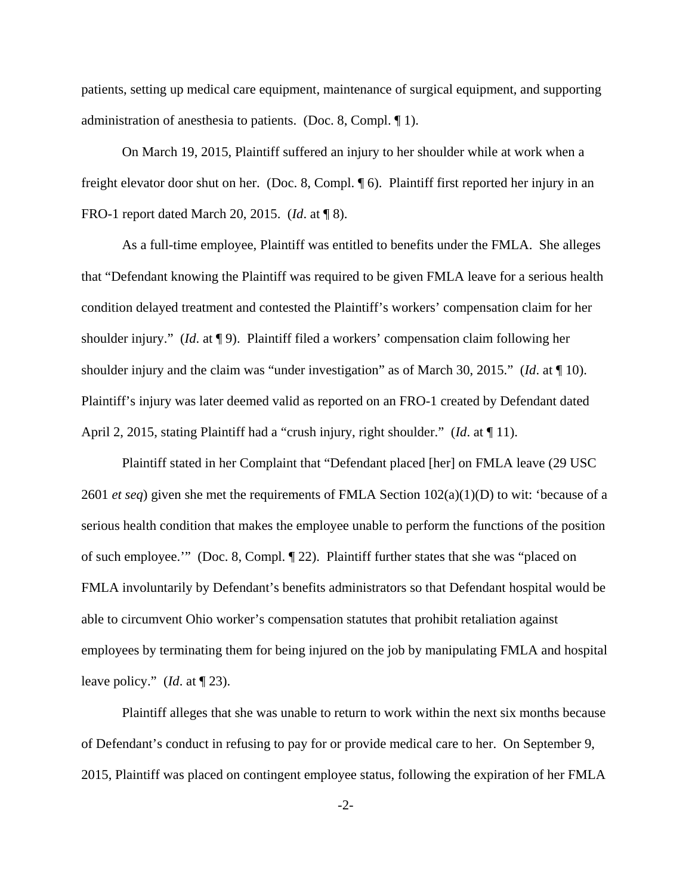patients, setting up medical care equipment, maintenance of surgical equipment, and supporting administration of anesthesia to patients. (Doc. 8, Compl. ¶ 1).

On March 19, 2015, Plaintiff suffered an injury to her shoulder while at work when a freight elevator door shut on her. (Doc. 8, Compl. ¶ 6). Plaintiff first reported her injury in an FRO-1 report dated March 20, 2015. (*Id*. at ¶ 8).

As a full-time employee, Plaintiff was entitled to benefits under the FMLA. She alleges that "Defendant knowing the Plaintiff was required to be given FMLA leave for a serious health condition delayed treatment and contested the Plaintiff's workers' compensation claim for her shoulder injury." (*Id*. at ¶ 9). Plaintiff filed a workers' compensation claim following her shoulder injury and the claim was "under investigation" as of March 30, 2015." (*Id*. at ¶ 10). Plaintiff's injury was later deemed valid as reported on an FRO-1 created by Defendant dated April 2, 2015, stating Plaintiff had a "crush injury, right shoulder." (*Id*. at ¶ 11).

Plaintiff stated in her Complaint that "Defendant placed [her] on FMLA leave (29 USC 2601 *et seq*) given she met the requirements of FMLA Section 102(a)(1)(D) to wit: 'because of a serious health condition that makes the employee unable to perform the functions of the position of such employee.'" (Doc. 8, Compl. ¶ 22). Plaintiff further states that she was "placed on FMLA involuntarily by Defendant's benefits administrators so that Defendant hospital would be able to circumvent Ohio worker's compensation statutes that prohibit retaliation against employees by terminating them for being injured on the job by manipulating FMLA and hospital leave policy." (*Id*. at ¶ 23).

Plaintiff alleges that she was unable to return to work within the next six months because of Defendant's conduct in refusing to pay for or provide medical care to her. On September 9, 2015, Plaintiff was placed on contingent employee status, following the expiration of her FMLA

-2-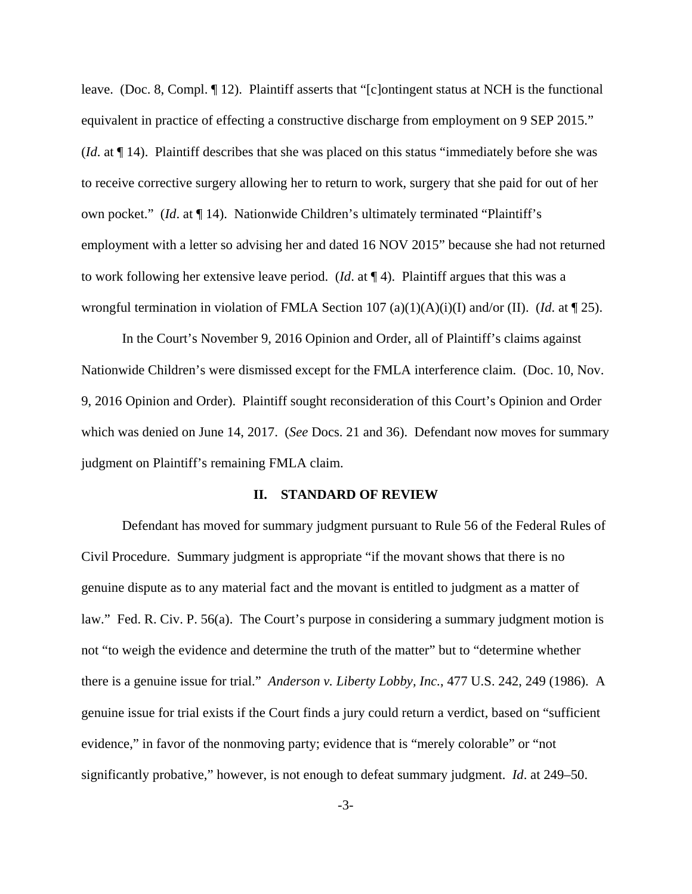leave. (Doc. 8, Compl. ¶ 12). Plaintiff asserts that "[c]ontingent status at NCH is the functional equivalent in practice of effecting a constructive discharge from employment on 9 SEP 2015." (*Id*. at ¶ 14). Plaintiff describes that she was placed on this status "immediately before she was to receive corrective surgery allowing her to return to work, surgery that she paid for out of her own pocket." (*Id*. at ¶ 14). Nationwide Children's ultimately terminated "Plaintiff's employment with a letter so advising her and dated 16 NOV 2015" because she had not returned to work following her extensive leave period. (*Id*. at ¶ 4). Plaintiff argues that this was a wrongful termination in violation of FMLA Section 107 (a)(1)(A)(i)(I) and/or (II). (*Id*. at ¶ 25).

In the Court's November 9, 2016 Opinion and Order, all of Plaintiff's claims against Nationwide Children's were dismissed except for the FMLA interference claim. (Doc. 10, Nov. 9, 2016 Opinion and Order). Plaintiff sought reconsideration of this Court's Opinion and Order which was denied on June 14, 2017. (*See* Docs. 21 and 36). Defendant now moves for summary judgment on Plaintiff's remaining FMLA claim.

#### **II. STANDARD OF REVIEW**

Defendant has moved for summary judgment pursuant to Rule 56 of the Federal Rules of Civil Procedure. Summary judgment is appropriate "if the movant shows that there is no genuine dispute as to any material fact and the movant is entitled to judgment as a matter of law." Fed. R. Civ. P. 56(a). The Court's purpose in considering a summary judgment motion is not "to weigh the evidence and determine the truth of the matter" but to "determine whether there is a genuine issue for trial." *Anderson v. Liberty Lobby, Inc.*, 477 U.S. 242, 249 (1986). A genuine issue for trial exists if the Court finds a jury could return a verdict, based on "sufficient evidence," in favor of the nonmoving party; evidence that is "merely colorable" or "not significantly probative," however, is not enough to defeat summary judgment. *Id*. at 249–50.

-3-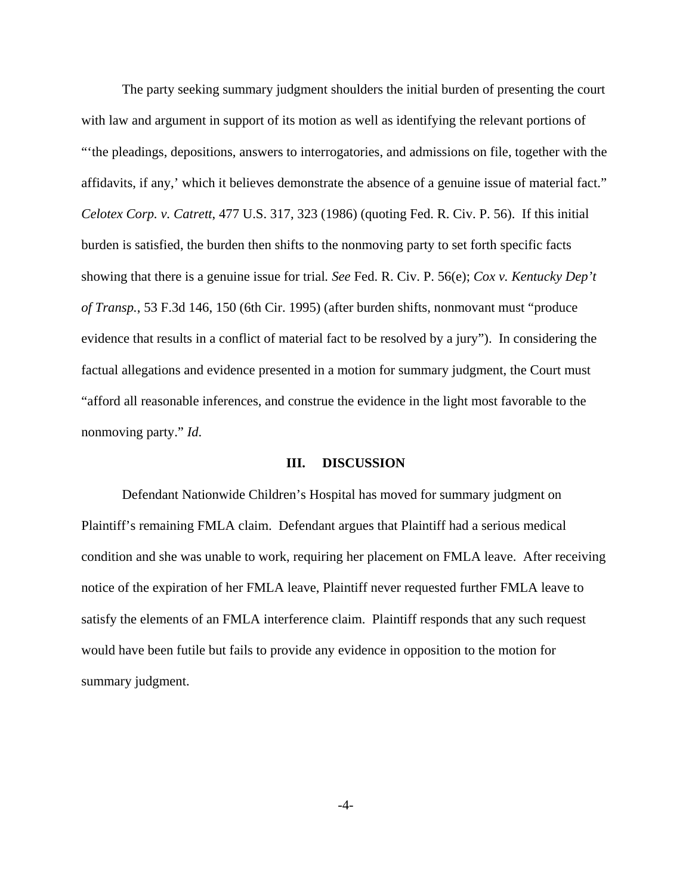The party seeking summary judgment shoulders the initial burden of presenting the court with law and argument in support of its motion as well as identifying the relevant portions of "'the pleadings, depositions, answers to interrogatories, and admissions on file, together with the affidavits, if any,' which it believes demonstrate the absence of a genuine issue of material fact." *Celotex Corp. v. Catrett*, 477 U.S. 317, 323 (1986) (quoting Fed. R. Civ. P. 56). If this initial burden is satisfied, the burden then shifts to the nonmoving party to set forth specific facts showing that there is a genuine issue for trial*. See* Fed. R. Civ. P. 56(e); *Cox v. Kentucky Dep't of Transp.*, 53 F.3d 146, 150 (6th Cir. 1995) (after burden shifts, nonmovant must "produce evidence that results in a conflict of material fact to be resolved by a jury"). In considering the factual allegations and evidence presented in a motion for summary judgment, the Court must "afford all reasonable inferences, and construe the evidence in the light most favorable to the nonmoving party." *Id*.

#### **III. DISCUSSION**

Defendant Nationwide Children's Hospital has moved for summary judgment on Plaintiff's remaining FMLA claim. Defendant argues that Plaintiff had a serious medical condition and she was unable to work, requiring her placement on FMLA leave. After receiving notice of the expiration of her FMLA leave, Plaintiff never requested further FMLA leave to satisfy the elements of an FMLA interference claim. Plaintiff responds that any such request would have been futile but fails to provide any evidence in opposition to the motion for summary judgment.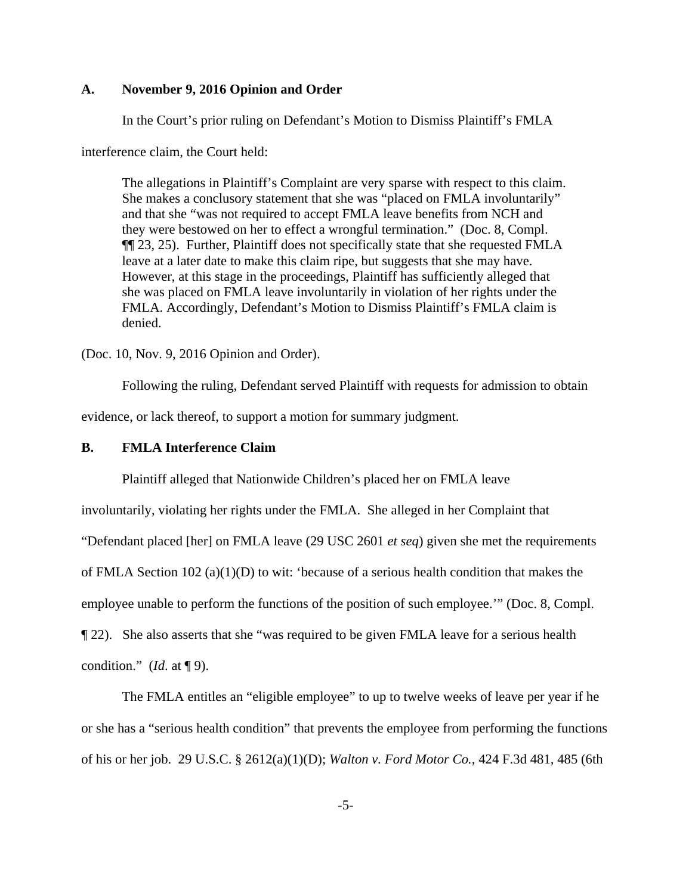## **A. November 9, 2016 Opinion and Order**

In the Court's prior ruling on Defendant's Motion to Dismiss Plaintiff's FMLA

interference claim, the Court held:

The allegations in Plaintiff's Complaint are very sparse with respect to this claim. She makes a conclusory statement that she was "placed on FMLA involuntarily" and that she "was not required to accept FMLA leave benefits from NCH and they were bestowed on her to effect a wrongful termination." (Doc. 8, Compl. ¶¶ 23, 25). Further, Plaintiff does not specifically state that she requested FMLA leave at a later date to make this claim ripe, but suggests that she may have. However, at this stage in the proceedings, Plaintiff has sufficiently alleged that she was placed on FMLA leave involuntarily in violation of her rights under the FMLA. Accordingly, Defendant's Motion to Dismiss Plaintiff's FMLA claim is denied.

(Doc. 10, Nov. 9, 2016 Opinion and Order).

Following the ruling, Defendant served Plaintiff with requests for admission to obtain evidence, or lack thereof, to support a motion for summary judgment.

### **B. FMLA Interference Claim**

Plaintiff alleged that Nationwide Children's placed her on FMLA leave

involuntarily, violating her rights under the FMLA. She alleged in her Complaint that

"Defendant placed [her] on FMLA leave (29 USC 2601 *et seq*) given she met the requirements

of FMLA Section 102 (a)(1)(D) to wit: 'because of a serious health condition that makes the

employee unable to perform the functions of the position of such employee.'" (Doc. 8, Compl.

¶ 22). She also asserts that she "was required to be given FMLA leave for a serious health

condition." (*Id*. at ¶ 9).

The FMLA entitles an "eligible employee" to up to twelve weeks of leave per year if he or she has a "serious health condition" that prevents the employee from performing the functions of his or her job. 29 U.S.C. § 2612(a)(1)(D); *Walton v. Ford Motor Co.*, 424 F.3d 481, 485 (6th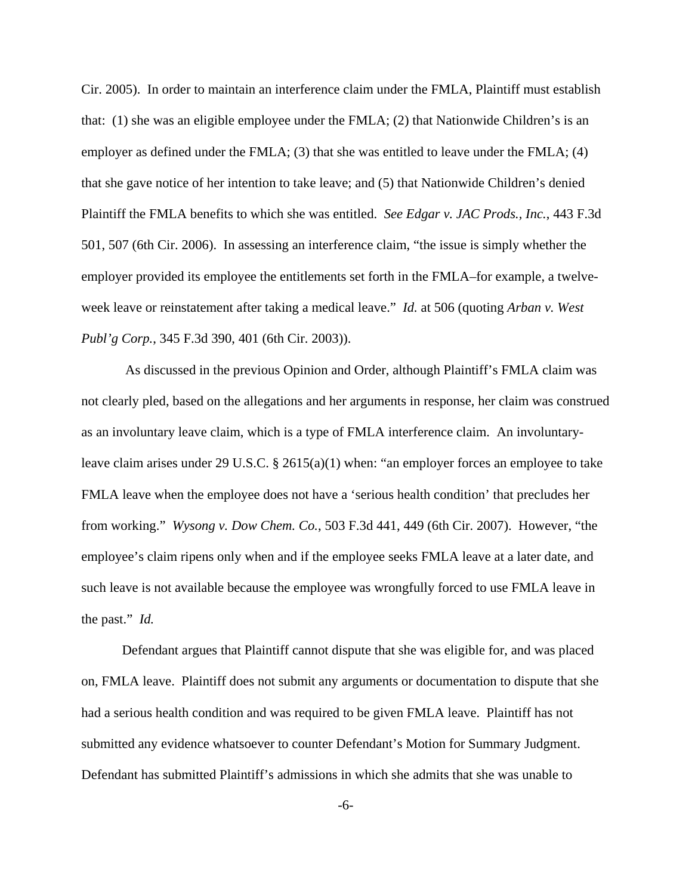Cir. 2005). In order to maintain an interference claim under the FMLA, Plaintiff must establish that: (1) she was an eligible employee under the FMLA; (2) that Nationwide Children's is an employer as defined under the FMLA; (3) that she was entitled to leave under the FMLA; (4) that she gave notice of her intention to take leave; and (5) that Nationwide Children's denied Plaintiff the FMLA benefits to which she was entitled. *See Edgar v. JAC Prods., Inc.*, 443 F.3d 501, 507 (6th Cir. 2006). In assessing an interference claim, "the issue is simply whether the employer provided its employee the entitlements set forth in the FMLA–for example, a twelveweek leave or reinstatement after taking a medical leave." *Id.* at 506 (quoting *Arban v. West Publ'g Corp.*, 345 F.3d 390, 401 (6th Cir. 2003)).

 As discussed in the previous Opinion and Order, although Plaintiff's FMLA claim was not clearly pled, based on the allegations and her arguments in response, her claim was construed as an involuntary leave claim, which is a type of FMLA interference claim. An involuntaryleave claim arises under 29 U.S.C. § 2615(a)(1) when: "an employer forces an employee to take FMLA leave when the employee does not have a 'serious health condition' that precludes her from working." *Wysong v. Dow Chem. Co.*, 503 F.3d 441, 449 (6th Cir. 2007). However, "the employee's claim ripens only when and if the employee seeks FMLA leave at a later date, and such leave is not available because the employee was wrongfully forced to use FMLA leave in the past." *Id.* 

Defendant argues that Plaintiff cannot dispute that she was eligible for, and was placed on, FMLA leave. Plaintiff does not submit any arguments or documentation to dispute that she had a serious health condition and was required to be given FMLA leave. Plaintiff has not submitted any evidence whatsoever to counter Defendant's Motion for Summary Judgment. Defendant has submitted Plaintiff's admissions in which she admits that she was unable to

-6-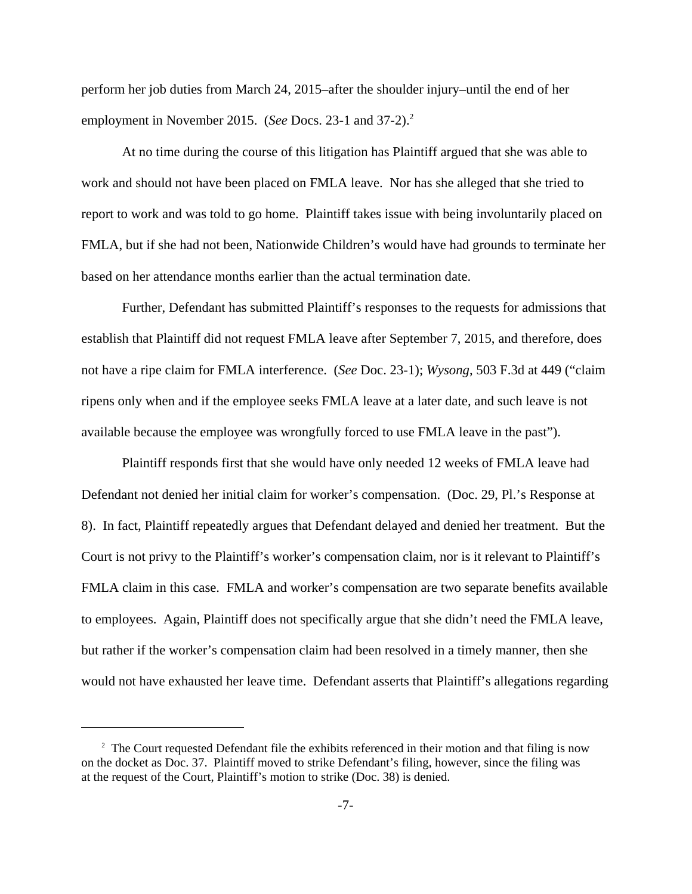perform her job duties from March 24, 2015–after the shoulder injury–until the end of her employment in November 2015. (*See* Docs. 23-1 and 37-2).<sup>2</sup>

At no time during the course of this litigation has Plaintiff argued that she was able to work and should not have been placed on FMLA leave. Nor has she alleged that she tried to report to work and was told to go home. Plaintiff takes issue with being involuntarily placed on FMLA, but if she had not been, Nationwide Children's would have had grounds to terminate her based on her attendance months earlier than the actual termination date.

Further, Defendant has submitted Plaintiff's responses to the requests for admissions that establish that Plaintiff did not request FMLA leave after September 7, 2015, and therefore, does not have a ripe claim for FMLA interference. (*See* Doc. 23-1); *Wysong*, 503 F.3d at 449 ("claim ripens only when and if the employee seeks FMLA leave at a later date, and such leave is not available because the employee was wrongfully forced to use FMLA leave in the past").

Plaintiff responds first that she would have only needed 12 weeks of FMLA leave had Defendant not denied her initial claim for worker's compensation. (Doc. 29, Pl.'s Response at 8). In fact, Plaintiff repeatedly argues that Defendant delayed and denied her treatment. But the Court is not privy to the Plaintiff's worker's compensation claim, nor is it relevant to Plaintiff's FMLA claim in this case. FMLA and worker's compensation are two separate benefits available to employees. Again, Plaintiff does not specifically argue that she didn't need the FMLA leave, but rather if the worker's compensation claim had been resolved in a timely manner, then she would not have exhausted her leave time. Defendant asserts that Plaintiff's allegations regarding

<sup>&</sup>lt;sup>2</sup> The Court requested Defendant file the exhibits referenced in their motion and that filing is now on the docket as Doc. 37. Plaintiff moved to strike Defendant's filing, however, since the filing was at the request of the Court, Plaintiff's motion to strike (Doc. 38) is denied.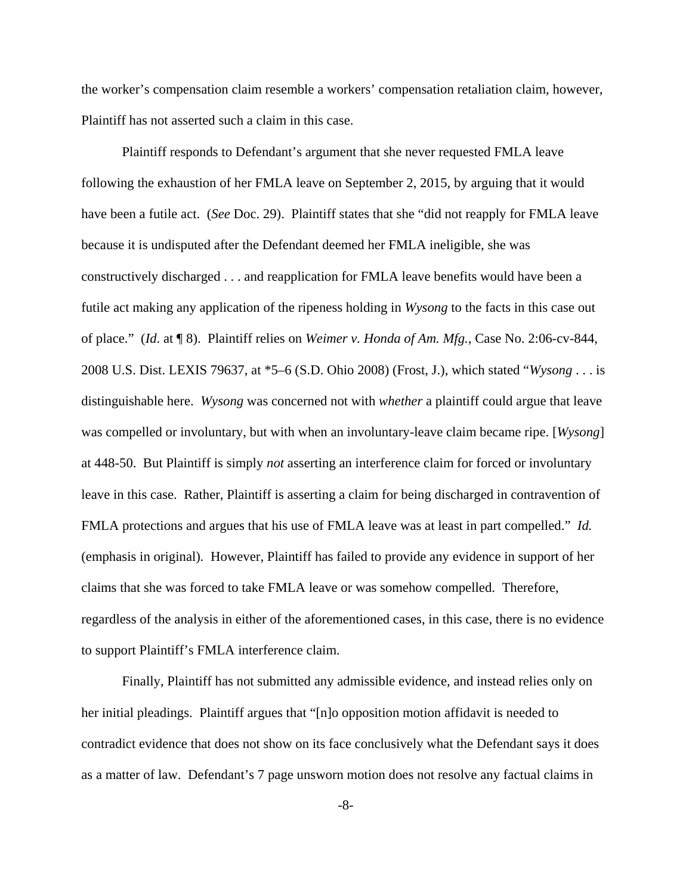the worker's compensation claim resemble a workers' compensation retaliation claim, however, Plaintiff has not asserted such a claim in this case.

Plaintiff responds to Defendant's argument that she never requested FMLA leave following the exhaustion of her FMLA leave on September 2, 2015, by arguing that it would have been a futile act. (*See* Doc. 29). Plaintiff states that she "did not reapply for FMLA leave because it is undisputed after the Defendant deemed her FMLA ineligible, she was constructively discharged . . . and reapplication for FMLA leave benefits would have been a futile act making any application of the ripeness holding in *Wysong* to the facts in this case out of place." (*Id*. at ¶ 8). Plaintiff relies on *Weimer v. Honda of Am. Mfg.*, Case No. 2:06-cv-844, 2008 U.S. Dist. LEXIS 79637, at \*5–6 (S.D. Ohio 2008) (Frost, J.), which stated "*Wysong* . . . is distinguishable here. *Wysong* was concerned not with *whether* a plaintiff could argue that leave was compelled or involuntary, but with when an involuntary-leave claim became ripe. [*Wysong*] at 448-50. But Plaintiff is simply *not* asserting an interference claim for forced or involuntary leave in this case. Rather, Plaintiff is asserting a claim for being discharged in contravention of FMLA protections and argues that his use of FMLA leave was at least in part compelled." *Id.* (emphasis in original)*.* However, Plaintiff has failed to provide any evidence in support of her claims that she was forced to take FMLA leave or was somehow compelled. Therefore, regardless of the analysis in either of the aforementioned cases, in this case, there is no evidence to support Plaintiff's FMLA interference claim.

Finally, Plaintiff has not submitted any admissible evidence, and instead relies only on her initial pleadings. Plaintiff argues that "[n]o opposition motion affidavit is needed to contradict evidence that does not show on its face conclusively what the Defendant says it does as a matter of law. Defendant's 7 page unsworn motion does not resolve any factual claims in

-8-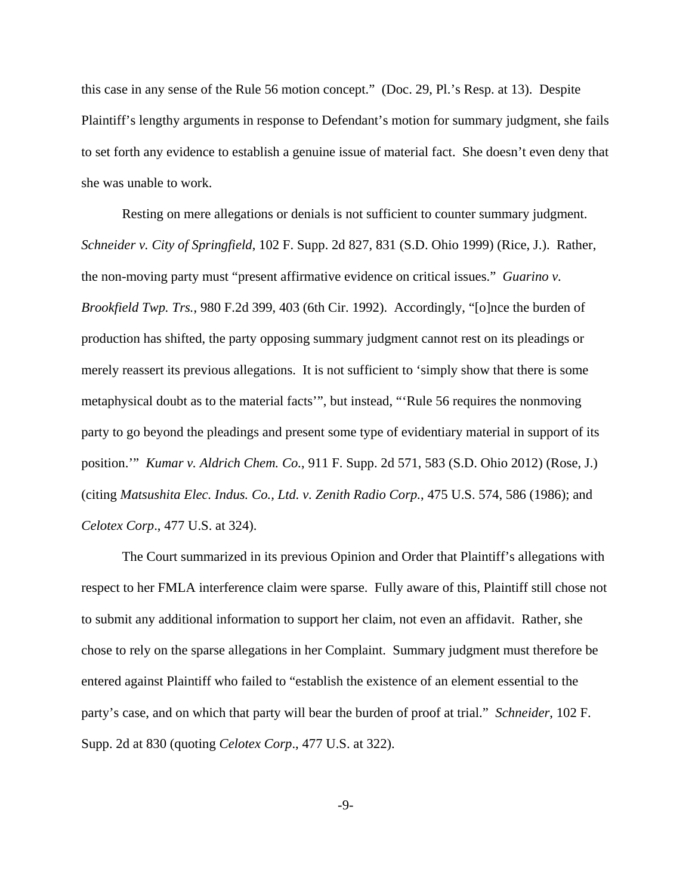this case in any sense of the Rule 56 motion concept." (Doc. 29, Pl.'s Resp. at 13). Despite Plaintiff's lengthy arguments in response to Defendant's motion for summary judgment, she fails to set forth any evidence to establish a genuine issue of material fact. She doesn't even deny that she was unable to work.

Resting on mere allegations or denials is not sufficient to counter summary judgment. *Schneider v. City of Springfield*, 102 F. Supp. 2d 827, 831 (S.D. Ohio 1999) (Rice, J.). Rather, the non-moving party must "present affirmative evidence on critical issues." *Guarino v. Brookfield Twp. Trs.*, 980 F.2d 399, 403 (6th Cir. 1992). Accordingly, "[o]nce the burden of production has shifted, the party opposing summary judgment cannot rest on its pleadings or merely reassert its previous allegations. It is not sufficient to 'simply show that there is some metaphysical doubt as to the material facts'", but instead, "'Rule 56 requires the nonmoving party to go beyond the pleadings and present some type of evidentiary material in support of its position.'" *Kumar v. Aldrich Chem. Co.*, 911 F. Supp. 2d 571, 583 (S.D. Ohio 2012) (Rose, J.) (citing *Matsushita Elec. Indus. Co., Ltd. v. Zenith Radio Corp.*, 475 U.S. 574, 586 (1986); and *Celotex Corp*., 477 U.S. at 324).

The Court summarized in its previous Opinion and Order that Plaintiff's allegations with respect to her FMLA interference claim were sparse. Fully aware of this, Plaintiff still chose not to submit any additional information to support her claim, not even an affidavit. Rather, she chose to rely on the sparse allegations in her Complaint. Summary judgment must therefore be entered against Plaintiff who failed to "establish the existence of an element essential to the party's case, and on which that party will bear the burden of proof at trial." *Schneider*, 102 F. Supp. 2d at 830 (quoting *Celotex Corp*., 477 U.S. at 322).

-9-